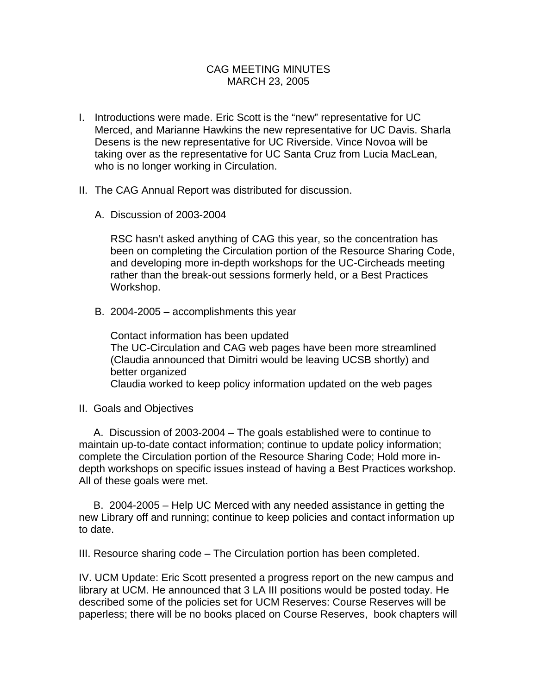## CAG MEETING MINUTES MARCH 23, 2005

- I. Introductions were made. Eric Scott is the "new" representative for UC Merced, and Marianne Hawkins the new representative for UC Davis. Sharla Desens is the new representative for UC Riverside. Vince Novoa will be taking over as the representative for UC Santa Cruz from Lucia MacLean, who is no longer working in Circulation.
- II. The CAG Annual Report was distributed for discussion.
	- A. Discussion of 2003-2004

RSC hasn't asked anything of CAG this year, so the concentration has been on completing the Circulation portion of the Resource Sharing Code, and developing more in-depth workshops for the UC-Circheads meeting rather than the break-out sessions formerly held, or a Best Practices Workshop.

B. 2004-2005 – accomplishments this year

Contact information has been updated The UC-Circulation and CAG web pages have been more streamlined (Claudia announced that Dimitri would be leaving UCSB shortly) and better organized Claudia worked to keep policy information updated on the web pages

II. Goals and Objectives

 A. Discussion of 2003-2004 – The goals established were to continue to maintain up-to-date contact information; continue to update policy information; complete the Circulation portion of the Resource Sharing Code; Hold more indepth workshops on specific issues instead of having a Best Practices workshop. All of these goals were met.

 B. 2004-2005 – Help UC Merced with any needed assistance in getting the new Library off and running; continue to keep policies and contact information up to date.

III. Resource sharing code – The Circulation portion has been completed.

IV. UCM Update: Eric Scott presented a progress report on the new campus and library at UCM. He announced that 3 LA III positions would be posted today. He described some of the policies set for UCM Reserves: Course Reserves will be paperless; there will be no books placed on Course Reserves, book chapters will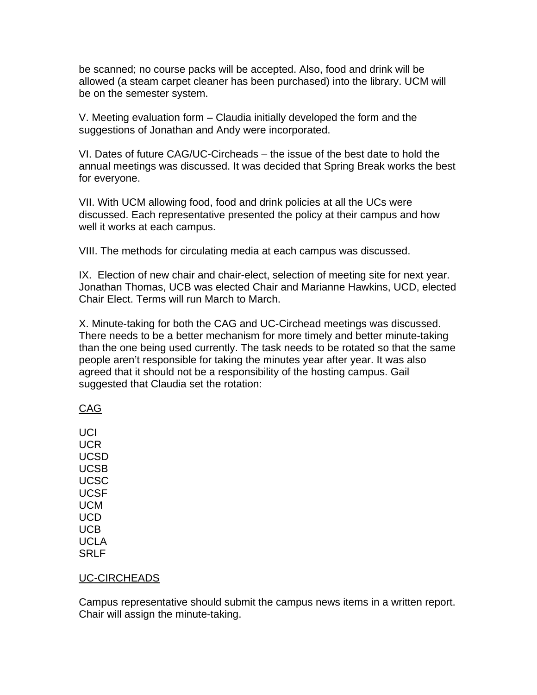be scanned; no course packs will be accepted. Also, food and drink will be allowed (a steam carpet cleaner has been purchased) into the library. UCM will be on the semester system.

V. Meeting evaluation form – Claudia initially developed the form and the suggestions of Jonathan and Andy were incorporated.

VI. Dates of future CAG/UC-Circheads – the issue of the best date to hold the annual meetings was discussed. It was decided that Spring Break works the best for everyone.

VII. With UCM allowing food, food and drink policies at all the UCs were discussed. Each representative presented the policy at their campus and how well it works at each campus.

VIII. The methods for circulating media at each campus was discussed.

IX. Election of new chair and chair-elect, selection of meeting site for next year. Jonathan Thomas, UCB was elected Chair and Marianne Hawkins, UCD, elected Chair Elect. Terms will run March to March.

X. Minute-taking for both the CAG and UC-Circhead meetings was discussed. There needs to be a better mechanism for more timely and better minute-taking than the one being used currently. The task needs to be rotated so that the same people aren't responsible for taking the minutes year after year. It was also agreed that it should not be a responsibility of the hosting campus. Gail suggested that Claudia set the rotation:

## CAG

**UCI** UCR UCSD UCSB UCSC UCSF UCM UCD UCB UCLA SRLF

## UC-CIRCHEADS

Campus representative should submit the campus news items in a written report. Chair will assign the minute-taking.